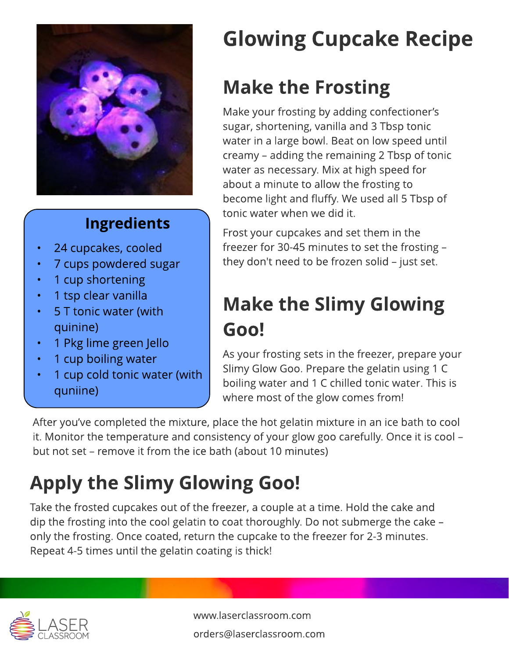

#### **Ingredients**

- 24 cupcakes, cooled
- 7 cups powdered sugar
- 1 cup shortening
- 1 tsp clear vanilla
- 5 T tonic water (with quinine)
- 1 Pkg lime green Jello
- 1 cup boiling water
- 1 cup cold tonic water (with quniine)

# Glowing Cupcake Recipe

### **Make the Frosting**

Make your frosting by adding confectioner?s sugar, shortening, vanilla and 3 Tbsp tonic water in a large bowl. Beat on low speed until creamy - adding the remaining 2 Tbsp of tonic water as necessary. Mix at high speed for about a minute to allow the frosting to become light and fluffy. We used all 5 Tbsp of tonic water when we did it.

Frost your cupcakes and set them in the freezer for 30-45 minutes to set the frosting  $$ they don't need to be frozen solid  $-$  just set.

#### **Make the Slimy Glowing** Goo!

As your frosting sets in the freezer, prepare your Slimy Glow Goo. Prepare the gelatin using 1 C boiling water and 1 C chilled tonic water. This is where most of the glow comes from!

After you've completed the mixture, place the hot gelatin mixture in an ice bath to cool it. Monitor the temperature and consistency of your glow goo carefully. Once it is cool but not set – remove it from the ice bath (about 10 minutes)

## Apply the Slimy Glowing Goo!

Take the frosted cupcakes out of the freezer, a couple at a time. Hold the cake and dip the frosting into the cool gelatin to coat thoroughly. Do not submerge the cake  $$ only the frosting. Once coated, return the cupcake to the freezer for 2-3 minutes. Repeat 4-5 times until the gelatin coating is thick!



www.laserclassroom.com orders@laserclassroom.com